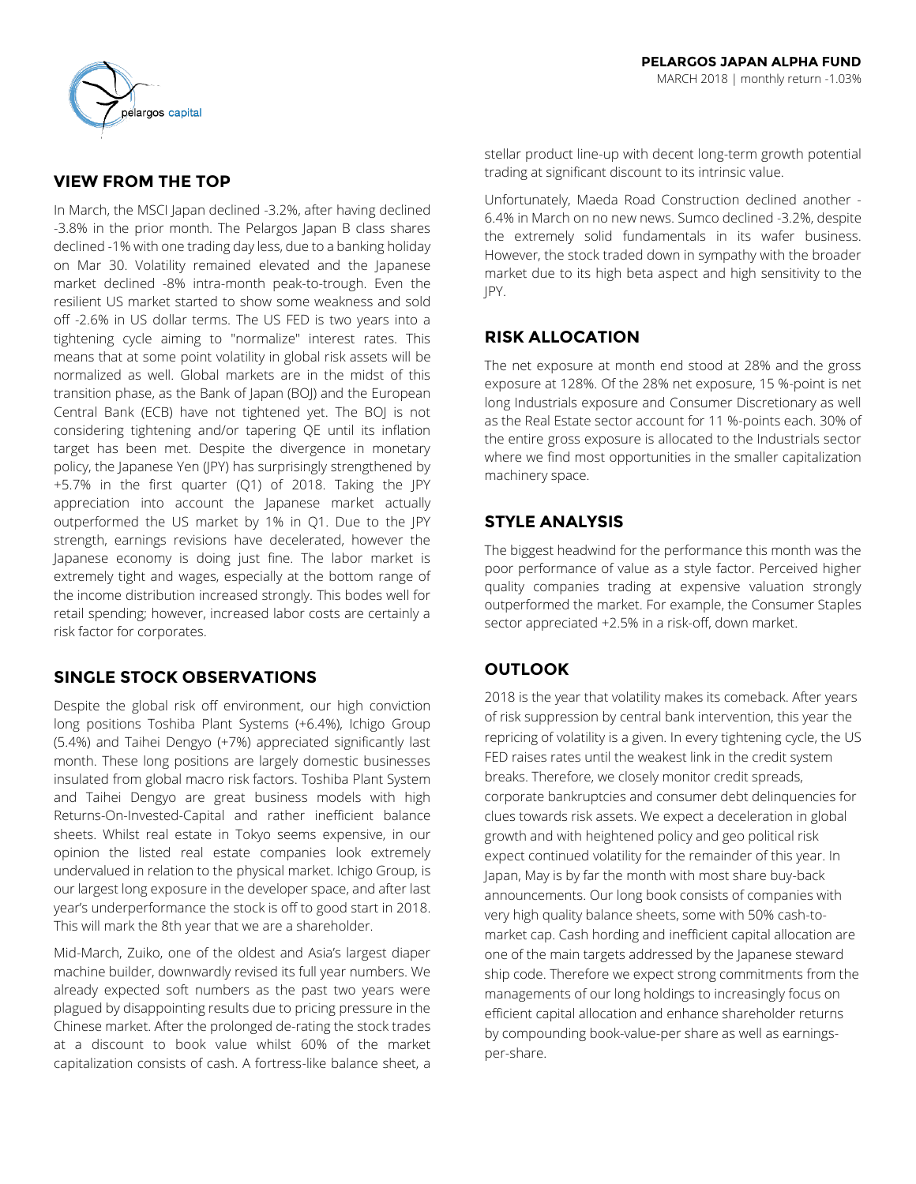# **VIEW FROM THE TOP**

In March, the MSCI Japan declined -3.2%, after having declined -3.8% in the prior month. The Pelargos Japan B class shares declined -1% with one trading day less, due to a banking holiday on Mar 30. Volatility remained elevated and the Japanese market declined -8% intra-month peak-to-trough. Even the resilient US market started to show some weakness and sold off -2.6% in US dollar terms. The US FED is two years into a tightening cycle aiming to "normalize" interest rates. This means that at some point volatility in global risk assets will be normalized as well. Global markets are in the midst of this transition phase, as the Bank of Japan (BOJ) and the European Central Bank (ECB) have not tightened yet. The BOJ is not considering tightening and/or tapering QE until its inflation target has been met. Despite the divergence in monetary policy, the Japanese Yen (JPY) has surprisingly strengthened by +5.7% in the first quarter (Q1) of 2018. Taking the JPY appreciation into account the Japanese market actually outperformed the US market by 1% in Q1. Due to the JPY strength, earnings revisions have decelerated, however the Japanese economy is doing just fine. The labor market is extremely tight and wages, especially at the bottom range of the income distribution increased strongly. This bodes well for retail spending; however, increased labor costs are certainly a risk factor for corporates.

# **SINGLE STOCK OBSERVATIONS**

Despite the global risk off environment, our high conviction long positions Toshiba Plant Systems (+6.4%), Ichigo Group (5.4%) and Taihei Dengyo (+7%) appreciated significantly last month. These long positions are largely domestic businesses insulated from global macro risk factors. Toshiba Plant System and Taihei Dengyo are great business models with high Returns-On-Invested-Capital and rather inefficient balance sheets. Whilst real estate in Tokyo seems expensive, in our opinion the listed real estate companies look extremely undervalued in relation to the physical market. Ichigo Group, is our largest long exposure in the developer space, and after last year's underperformance the stock is off to good start in 2018. This will mark the 8th year that we are a shareholder.

Mid-March, Zuiko, one of the oldest and Asia's largest diaper machine builder, downwardly revised its full year numbers. We already expected soft numbers as the past two years were plagued by disappointing results due to pricing pressure in the Chinese market. After the prolonged de-rating the stock trades at a discount to book value whilst 60% of the market capitalization consists of cash. A fortress-like balance sheet, a

stellar product line-up with decent long-term growth potential trading at significant discount to its intrinsic value.

Unfortunately, Maeda Road Construction declined another - 6.4% in March on no new news. Sumco declined -3.2%, despite the extremely solid fundamentals in its wafer business. However, the stock traded down in sympathy with the broader market due to its high beta aspect and high sensitivity to the JPY.

# **RISK ALLOCATION**

The net exposure at month end stood at 28% and the gross exposure at 128%. Of the 28% net exposure, 15 %-point is net long Industrials exposure and Consumer Discretionary as well as the Real Estate sector account for 11 %-points each. 30% of the entire gross exposure is allocated to the Industrials sector where we find most opportunities in the smaller capitalization machinery space.

# **STYLE ANALYSIS**

The biggest headwind for the performance this month was the poor performance of value as a style factor. Perceived higher quality companies trading at expensive valuation strongly outperformed the market. For example, the Consumer Staples sector appreciated +2.5% in a risk-off, down market.

# **OUTLOOK**

2018 is the year that volatility makes its comeback. After years of risk suppression by central bank intervention, this year the repricing of volatility is a given. In every tightening cycle, the US FED raises rates until the weakest link in the credit system breaks. Therefore, we closely monitor credit spreads, corporate bankruptcies and consumer debt delinquencies for clues towards risk assets. We expect a deceleration in global growth and with heightened policy and geo political risk expect continued volatility for the remainder of this year. In Japan, May is by far the month with most share buy-back announcements. Our long book consists of companies with very high quality balance sheets, some with 50% cash-tomarket cap. Cash hording and inefficient capital allocation are one of the main targets addressed by the Japanese steward ship code. Therefore we expect strong commitments from the managements of our long holdings to increasingly focus on efficient capital allocation and enhance shareholder returns by compounding book-value-per share as well as earningsper-share.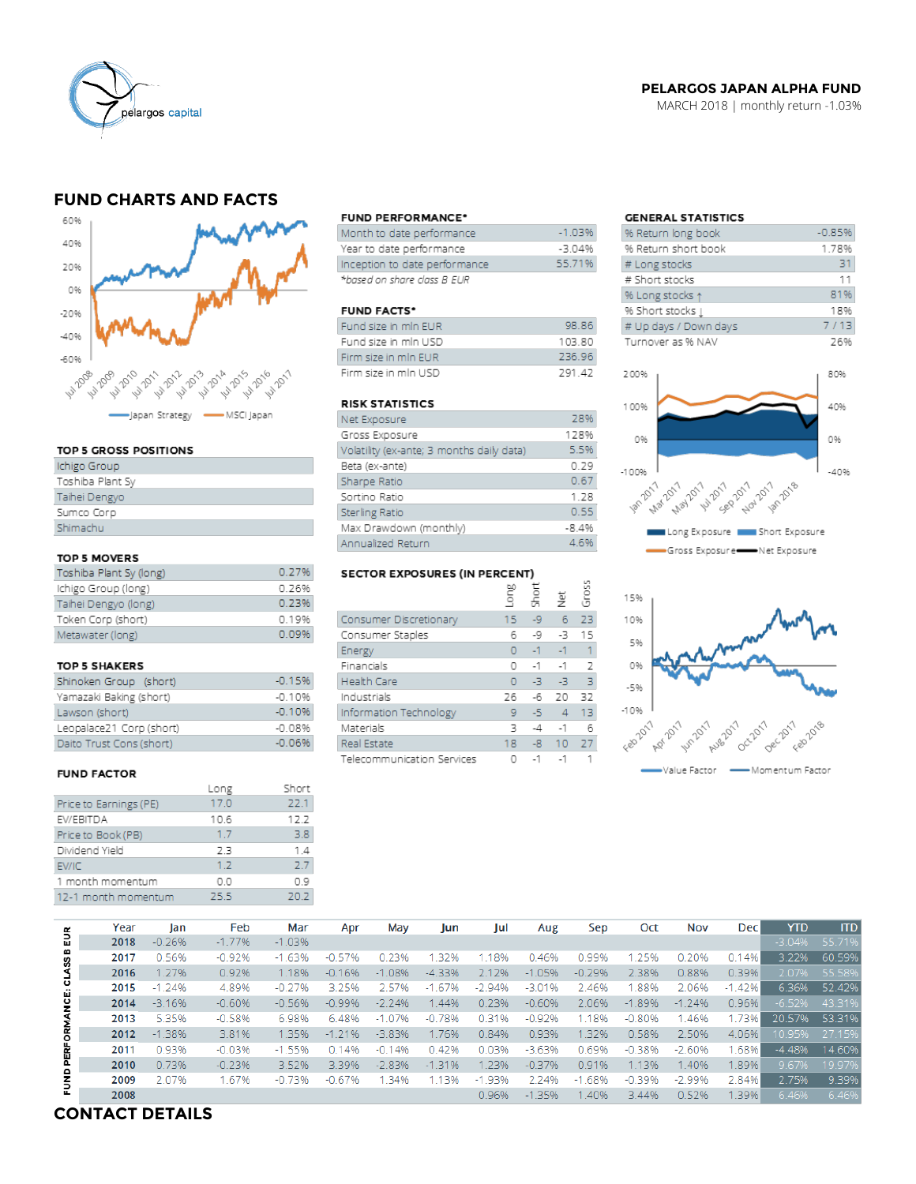

### **PELARGOS JAPAN ALPHA FUND**

MARCH 2018 | monthly return -1.03%

# **FUND CHARTS AND FACTS**



#### TOP 5 GROSS POSITIONS

| Ichigo Group     |
|------------------|
| Toshiba Plant Sy |
| Taihei Dengyo    |
| Sumco Corp       |
| Shimachu         |
|                  |

#### TOP 5 MOVERS

| Toshiba Plant Sy (long) | 0.27%   |
|-------------------------|---------|
| Ichigo Group (long)     | 0.26%   |
| Taihei Dengyo (long)    | 0.23%   |
| Token Corp (short)      | 0 1 9 % |
| Metawater (long)        | 0.09%   |

#### TOP 5 SHAKERS

| Shinoken Group (short)   | $-0.15%$ |
|--------------------------|----------|
| Yamazaki Baking (short)  | $-0.10%$ |
| Lawson (short)           | $-0.10%$ |
| Leopalace21 Corp (short) | $-0.08%$ |
| Daito Trust Cons (short) | $-0.06%$ |

#### **FUND FACTOR**

|                        | Long | Short |
|------------------------|------|-------|
| Price to Earnings (PE) | 17.0 | 22.1  |
| EV/EBITDA              | 10.6 | 12.2  |
| Price to Book (PB)     | 1.7  | 3.8   |
| Dividend Yield         | 23   | 1.4   |
| EV/IC                  | 1.2  | 77    |
| 1 month momentum       | 0.0  | 09    |
| 12-1 month momentum    | 25.5 | 20.2  |
|                        |      |       |

#### **FUND PERFORMANCE\***

| Month to date performance     | $-1.03%$ |
|-------------------------------|----------|
| Year to date performance      | -3.04%   |
| Inception to date performance | 55.71%   |
| *based on share class B EUR   |          |

#### **FUND FACTS\***

| Fund size in min EUR | 98.86  |
|----------------------|--------|
| Fund size in mln USD | 103.80 |
| Firm size in min FUR | 236.96 |
| Firm size in min USD | 791 47 |

#### **RISK STATISTICS**

| Net Exposure                              | 28%     |
|-------------------------------------------|---------|
| Gross Exposure                            | 128%    |
| Volatility (ex-ante; 3 months daily data) | 5.5%    |
| Beta (ex-ante)                            | 0.29    |
| Sharpe Ratio                              | 0.67    |
| Sortino Ratio                             | 1.28    |
| Sterling Ratio                            | 0.55    |
| Max Drawdown (monthly)                    | $-8.4%$ |
| Annualized Return                         | 4.6%    |

# SECTOR EXPOSURES (IN PERCENT)

|                            | guo | Short | 흋    | Gross |
|----------------------------|-----|-------|------|-------|
| Consumer Discretionary     | 15  | Lg    | 6    | 23    |
| Consumer Staples           | 6   | -9    | -3   | 15    |
| Energy                     | 0   | $-1$  | $-1$ | 1     |
| Financials                 | O   | $-1$  | $-1$ | 2     |
| <b>Health Care</b>         | O   | -3    | -3   | 3     |
| Industrials                | 26  | $-6$  | 20   | 32    |
| Information Technology     | 9   | -5    | 4    | 13    |
| Materials                  | 3   | -4    | $-1$ | б     |
| Real Estate                | 18  | $-8$  | 10   | 27    |
| Telecommunication Services | 0   | $-1$  | $-1$ |       |

## **GENERAL STATISTICS**

| % Return long book    | $-0.85%$ |
|-----------------------|----------|
| % Return short book   | 1.78%    |
| # Long stocks         | 31       |
| # Short stocks        | 11       |
| % Long stocks 1       | 81%      |
| % Short stocks [      | 18%      |
| # Up days / Down days | 7/13     |
| Turnover as % NAV     | 26%      |
| 200%                  | 80%      |
|                       |          |





|                      | Year | lan      | Feb      | Mar      | Apr      | May      | Jun      | Jul      | Aug      | Sep        | Oct      | Nov      | Dec      | <b>YTD</b> | <b>ITD</b> |
|----------------------|------|----------|----------|----------|----------|----------|----------|----------|----------|------------|----------|----------|----------|------------|------------|
| 틦                    | 2018 | $-0.26%$ | $-1.77%$ | $-1.03%$ |          |          |          |          |          |            |          |          |          | $-3.04%$   | 55.71%     |
|                      | 2017 | 0.56%    | $-0.92%$ | $-1.63%$ | $-0.57%$ | 0.23%    | .32%     | .18%     | 0.46%    | 0.99%      | 1.25%    | 0.20%    | 0.14%    | 3.22%      | 60.59%     |
|                      | 2016 | 1.27%    | 0.92%    | 1.18%    | $-0.16%$ | $-1.08%$ | $-4.33%$ | 2.12%    | $-1.05%$ | $-0.29%$   | 2.38%    | 0.88%    | 0.39%    | 2.07%      | 55.58%     |
|                      | 2015 | $-1.24%$ | 4.89%    | $-0.27%$ | 3.25%    | 2.57%    | $-1.67%$ | $-2.94%$ | $-3.01%$ | 2.46%      | 1.88%    | 2.06%    | $-1.42%$ | 6.36%      | 52.42%     |
| PERFORMANCE: CLASS B | 2014 | $-3.16%$ | $-0.60%$ | $-0.56%$ | $-0.99%$ | $-2.24%$ | 1.44%    | 0.23%    | $-0.60%$ | 2.06%      | $-1.89%$ | $-1.24%$ | 0.96%    | $-6.52%$   | 43.31%     |
|                      | 2013 | 5.35%    | $-0.58%$ | 6.98%    | 6.48%    | $-1.07%$ | $-0.78%$ | 0.31%    | $-0.92%$ | 1.18%      | $-0.80%$ | 1.46%    | 1.73%    | 20.57%     | 53.31%     |
|                      | 2012 | $-1.38%$ | 3.81%    | 1.35%    | $-1.21%$ | $-3.83%$ | 1.76%    | 0.84%    | 0.93%    | 1.32%      | 0.58%    | 2.50%    | 4.06%    | 10.95%     | 27.15%     |
|                      | 2011 | 0.93%    | $-0.03%$ | $-1.55%$ | 0.14%    | $-0.14%$ | 0.42%    | 0.03%    | $-3.63%$ | 0.69%      | $-0.38%$ | $-2.60%$ | .68%     | $-4.48%$   | 14.60%     |
|                      | 2010 | 0.73%    | $-0.23%$ | 3.52%    | 3.39%    | $-2.83%$ | $-1.31%$ | 1.23%    | $-0.37%$ | 0.91%      | 1.13%    | 1.40%    | 1.89%    | 9.67%      | 19.97%     |
| FUND                 | 2009 | 2.07%    | 1.67%    | $-0.73%$ | $-0.67%$ | 1.34%    | 1.13%    | $-1.93%$ | 2.24%    | .68%<br>-1 | $-0.39%$ | $-2.99%$ | 2.84%    | 2.75%      | 9.39%      |
|                      | 2008 |          |          |          |          |          |          | 0.96%    | $-1.35%$ | .40%       | 3.44%    | 0.52%    | 1.39%    | 6.46%      | 6.46%      |

# **CONTACT DETAILS**